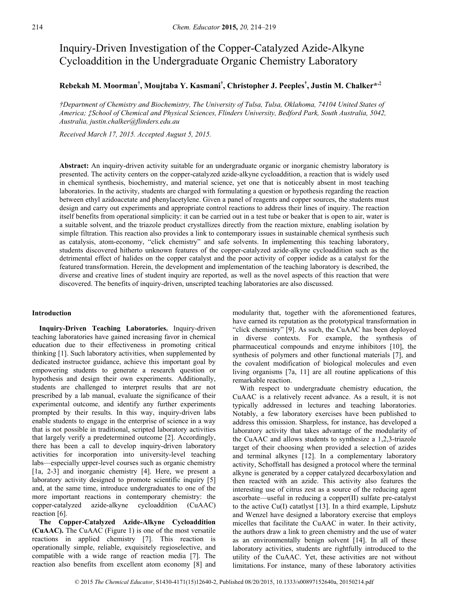# Inquiry-Driven Investigation of the Copper-Catalyzed Azide-Alkyne Cycloaddition in the Undergraduate Organic Chemistry Laboratory

## **Rebekah M. Moorman† , Moujtaba Y. Kasmani† , Christopher J. Peeples† , Justin M. Chalker\*,‡**

*†Department of Chemistry and Biochemistry, The University of Tulsa, Tulsa, Oklahoma, 74104 United States of America; ‡School of Chemical and Physical Sciences, Flinders University, Bedford Park, South Australia, 5042, Australia, justin.chalker@flinders.edu.au* 

*Received March 17, 2015. Accepted August 5, 2015.* 

**Abstract:** An inquiry-driven activity suitable for an undergraduate organic or inorganic chemistry laboratory is presented. The activity centers on the copper-catalyzed azide-alkyne cycloaddition, a reaction that is widely used in chemical synthesis, biochemistry, and material science, yet one that is noticeably absent in most teaching laboratories. In the activity, students are charged with formulating a question or hypothesis regarding the reaction between ethyl azidoacetate and phenylacetylene. Given a panel of reagents and copper sources, the students must design and carry out experiments and appropriate control reactions to address their lines of inquiry. The reaction itself benefits from operational simplicity: it can be carried out in a test tube or beaker that is open to air, water is a suitable solvent, and the triazole product crystallizes directly from the reaction mixture, enabling isolation by simple filtration. This reaction also provides a link to contemporary issues in sustainable chemical synthesis such as catalysis, atom-economy, "click chemistry" and safe solvents. In implementing this teaching laboratory, students discovered hitherto unknown features of the copper-catalyzed azide-alkyne cycloaddition such as the detrimental effect of halides on the copper catalyst and the poor activity of copper iodide as a catalyst for the featured transformation. Herein, the development and implementation of the teaching laboratory is described, the diverse and creative lines of student inquiry are reported, as well as the novel aspects of this reaction that were discovered. The benefits of inquiry-driven, unscripted teaching laboratories are also discussed.

#### **Introduction**

**Inquiry-Driven Teaching Laboratories.** Inquiry-driven teaching laboratories have gained increasing favor in chemical education due to their effectiveness in promoting critical thinking [1]. Such laboratory activities, when supplemented by dedicated instructor guidance, achieve this important goal by empowering students to generate a research question or hypothesis and design their own experiments. Additionally, students are challenged to interpret results that are not prescribed by a lab manual, evaluate the significance of their experimental outcome, and identify any further experiments prompted by their results. In this way, inquiry-driven labs enable students to engage in the enterprise of science in a way that is not possible in traditional, scripted laboratory activities that largely verify a predetermined outcome [2]. Accordingly, there has been a call to develop inquiry-driven laboratory activities for incorporation into university-level teaching labs—especially upper-level courses such as organic chemistry [1a, 2-3] and inorganic chemistry [4]. Here, we present a laboratory activity designed to promote scientific inquiry [5] and, at the same time, introduce undergraduates to one of the more important reactions in contemporary chemistry: the copper-catalyzed azide-alkyne cycloaddition (CuAAC) reaction [6].

**The Copper-Catalyzed Azide-Alkyne Cycloaddition (CuAAC).** The CuAAC (Figure 1) is one of the most versatile reactions in applied chemistry [7]. This reaction is operationally simple, reliable, exquisitely regioselective, and compatible with a wide range of reaction media [7]. The reaction also benefits from excellent atom economy [8] and

modularity that, together with the aforementioned features, have earned its reputation as the prototypical transformation in "click chemistry" [9]. As such, the CuAAC has been deployed in diverse contexts. For example, the synthesis of pharmaceutical compounds and enzyme inhibitors [10], the synthesis of polymers and other functional materials [7], and the covalent modification of biological molecules and even living organisms [7a, 11] are all routine applications of this remarkable reaction.

With respect to undergraduate chemistry education, the CuAAC is a relatively recent advance. As a result, it is not typically addressed in lectures and teaching laboratories. Notably, a few laboratory exercises have been published to address this omission. Sharpless, for instance, has developed a laboratory activity that takes advantage of the modularity of the CuAAC and allows students to synthesize a 1,2,3-triazole target of their choosing when provided a selection of azides and terminal alkynes [12]. In a complementary laboratory activity, Schoffstall has designed a protocol where the terminal alkyne is generated by a copper catalyzed decarboxylation and then reacted with an azide. This activity also features the interesting use of citrus zest as a source of the reducing agent ascorbate—useful in reducing a copper(II) sulfate pre-catalyst to the active Cu(I) catatlyst [13]. In a third example, Lipshutz and Wenzel have designed a laboratory exercise that employs micelles that facilitate the CuAAC in water. In their activity, the authors draw a link to green chemistry and the use of water as an environmentally benign solvent [14]. In all of these laboratory activities, students are rightfully introduced to the utility of the CuAAC. Yet, these activities are not without limitations. For instance, many of these laboratory activities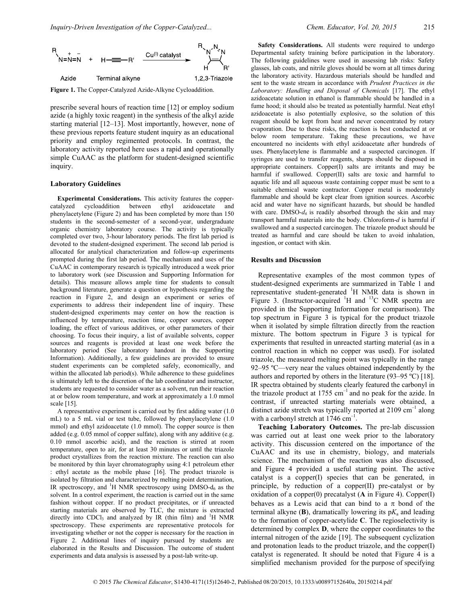

**Figure 1.** The Copper-Catalyzed Azide-Alkyne Cycloaddition.

prescribe several hours of reaction time [12] or employ sodium azide (a highly toxic reagent) in the synthesis of the alkyl azide starting material [12–13]. Most importantly, however, none of these previous reports feature student inquiry as an educational priority and employ regimented protocols. In contrast, the laboratory activity reported here uses a rapid and operationally simple CuAAC as the platform for student-designed scientific inquiry.

### **Laboratory Guidelines**

**Experimental Considerations.** This activity features the coppercatalyzed cycloaddition between ethyl azidoacetate and phenylacetylene (Figure 2) and has been completed by more than 150 students in the second-semester of a second-year, undergraduate organic chemistry laboratory course. The activity is typically completed over two, 3-hour laboratory periods. The first lab period is devoted to the student-designed experiment. The second lab period is allocated for analytical characterization and follow-up experiments prompted during the first lab period. The mechanism and uses of the CuAAC in contemporary research is typically introduced a week prior to laboratory work (see Discussion and Supporting Information for details). This measure allows ample time for students to consult background literature, generate a question or hypothesis regarding the reaction in Figure 2, and design an experiment or series of experiments to address their independent line of inquiry. These student-designed experiments may center on how the reaction is influenced by temperature, reaction time, copper sources, copper loading, the effect of various additives, or other parameters of their choosing. To focus their inquiry, a list of available solvents, copper sources and reagents is provided at least one week before the laboratory period (See laboratory handout in the Supporting Information). Additionally, a few guidelines are provided to ensure student experiments can be completed safely, economically, and within the allocated lab period(s). While adherence to these guidelines is ultimately left to the discretion of the lab coordinator and instructor, students are requested to consider water as a solvent, run their reaction at or below room temperature, and work at approximately a 1.0 mmol scale [15].

A representative experiment is carried out by first adding water (1.0 mL) to a 5 mL vial or test tube, followed by phenylacetylene (1.0 mmol) and ethyl azidoacetate (1.0 mmol). The copper source is then added (e.g. 0.05 mmol of copper sulfate), along with any additive (e.g. 0.10 mmol ascorbic acid), and the reaction is stirred at room temperature, open to air, for at least 30 minutes or until the triazole product crystallizes from the reaction mixture. The reaction can also be monitored by thin layer chromatography using 4:1 petroleum ether : ethyl acetate as the mobile phase [16]. The product triazole is isolated by filtration and characterized by melting point determination, IR spectroscopy, and <sup>1</sup>H NMR spectroscopy using DMSO-d<sub>6</sub> as the solvent. In a control experiment, the reaction is carried out in the same fashion without copper. If no product precipitates, or if unreacted starting materials are observed by TLC, the mixture is extracted directly into CDCl<sub>3</sub> and analyzed by IR (thin film) and  ${}^{1}H$  NMR spectroscopy. These experiments are representative protocols for investigating whether or not the copper is necessary for the reaction in Figure 2. Additional lines of inquiry pursued by students are elaborated in the Results and Discussion. The outcome of student experiments and data analysis is assessed by a post-lab write-up.

**Safety Considerations.** All students were required to undergo Departmental safety training before participation in the laboratory. The following guidelines were used in assessing lab risks: Safety glasses, lab coats, and nitrile gloves should be worn at all times during the laboratory activity. Hazardous materials should be handled and sent to the waste stream in accordance with *Prudent Practices in the Laboratory: Handling and Disposal of Chemicals* [17]. The ethyl azidoacetate solution in ethanol is flammable should be handled in a fume hood; it should also be treated as potentially harmful. Neat ethyl azidoacetate is also potentially explosive, so the solution of this reagent should be kept from heat and never concentrated by rotary evaporation. Due to these risks, the reaction is best conducted at or below room temperature. Taking these precautions, we have encountered no incidents with ethyl azidoacetate after hundreds of uses. Phenylacetylene is flammable and a suspected carcinogen. If syringes are used to transfer reagents, sharps should be disposed in appropriate containers. Copper(I) salts are irritants and may be harmful if swallowed. Copper(II) salts are toxic and harmful to aquatic life and all aqueous waste containing copper must be sent to a suitable chemical waste contractor. Copper metal is moderately flammable and should be kept clear from ignition sources. Ascorbic acid and water have no significant hazards, but should be handled with care. DMSO- $d_6$  is readily absorbed through the skin and may transport harmful materials into the body. Chloroform-*d* is harmful if swallowed and a suspected carcinogen. The triazole product should be treated as harmful and care should be taken to avoid inhalation, ingestion, or contact with skin.

### **Results and Discussion**

Representative examples of the most common types of student-designed experiments are summarized in Table 1 and representative student-generated <sup>1</sup>H NMR data is shown in Figure 3. (Instructor-acquired  $H$  and  $H^3C$  NMR spectra are provided in the Supporting Information for comparison). The top spectrum in Figure 3 is typical for the product triazole when it isolated by simple filtration directly from the reaction mixture. The bottom spectrum in Figure 3 is typical for experiments that resulted in unreacted starting material (as in a control reaction in which no copper was used). For isolated triazole, the measured melting point was typically in the range 92–95 ºC—very near the values obtained independently by the authors and reported by others in the literature (93–95 ºC) [18]. IR spectra obtained by students clearly featured the carbonyl in the triazole product at  $1755 \text{ cm}^{-1}$  and no peak for the azide. In contrast, if unreacted starting materials were obtained, a distinct azide stretch was typically reported at  $2109 \text{ cm}^{-1}$  along with a carbonyl stretch at  $1746 \text{ cm}^{-1}$ .

**Teaching Laboratory Outcomes.** The pre-lab discussion was carried out at least one week prior to the laboratory activity. This discussion centered on the importance of the CuAAC and its use in chemistry, biology, and materials science. The mechanism of the reaction was also discussed, and Figure 4 provided a useful starting point. The active catalyst is a copper(I) species that can be generated, in principle, by reduction of a copper(II) pre-catalyst or by oxidation of a copper(0) precatalyst (**A** in Figure 4). Copper(I) behaves as a Lewis acid that can bind to a  $\pi$  bond of the terminal alkyne  $(B)$ , dramatically lowering its  $pK_a$  and leading to the formation of copper-acetylide **C**. The regioselectivity is determined by complex **D**, where the copper coordinates to the internal nitrogen of the azide [19]. The subsequent cyclization and protonation leads to the product triazole, and the copper(I) catalyst is regenerated. It should be noted that Figure 4 is a simplified mechanism provided for the purpose of specifying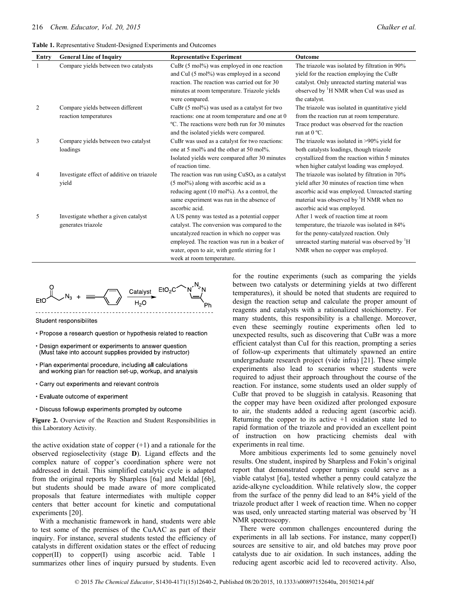**Table 1.** Representative Student-Designed Experiments and Outcomes

| Entry | <b>General Line of Inquiry</b>                             | <b>Representative Experiment</b>                                                                                                                                                                                                                                           | Outcome                                                                                                                                                                                                                                |
|-------|------------------------------------------------------------|----------------------------------------------------------------------------------------------------------------------------------------------------------------------------------------------------------------------------------------------------------------------------|----------------------------------------------------------------------------------------------------------------------------------------------------------------------------------------------------------------------------------------|
| -1    | Compare yields between two catalysts                       | $CuBr(5 mol%)$ was employed in one reaction<br>and CuI (5 mol%) was employed in a second<br>reaction. The reaction was carried out for 30<br>minutes at room temperature. Triazole yields<br>were compared.                                                                | The triazole was isolated by filtration in 90%<br>yield for the reaction employing the CuBr<br>catalyst. Only unreacted starting material was<br>observed by <sup>1</sup> H NMR when CuI was used as<br>the catalyst.                  |
| 2     | Compare yields between different<br>reaction temperatures  | $CuBr(5 mol%)$ was used as a catalyst for two<br>reactions: one at room temperature and one at 0<br>°C. The reactions were both run for 30 minutes<br>and the isolated yields were compared.                                                                               | The triazole was isolated in quantitative yield<br>from the reaction run at room temperature.<br>Trace product was observed for the reaction<br>run at $0^{\circ}$ C.                                                                  |
| 3     | Compare yields between two catalyst<br>loadings            | CuBr was used as a catalyst for two reactions:<br>one at 5 mol% and the other at 50 mol%.<br>Isolated yields were compared after 30 minutes<br>of reaction time.                                                                                                           | The triazole was isolated in >90% yield for<br>both catalysts loadings, though triazole<br>crystallized from the reaction within 5 minutes<br>when higher catalyst loading was employed.                                               |
| 4     | Investigate effect of additive on triazole<br>yield        | The reaction was run using $CuSO4$ as a catalyst<br>(5 mol%) along with ascorbic acid as a<br>reducing agent (10 mol%). As a control, the<br>same experiment was run in the absence of<br>ascorbic acid.                                                                   | The triazole was isolated by filtration in 70%<br>yield after 30 minutes of reaction time when<br>ascorbic acid was employed. Unreacted starting<br>material was observed by <sup>1</sup> H NMR when no<br>ascorbic acid was employed. |
| 5     | Investigate whether a given catalyst<br>generates triazole | A US penny was tested as a potential copper<br>catalyst. The conversion was compared to the<br>uncatalyzed reaction in which no copper was<br>employed. The reaction was run in a beaker of<br>water, open to air, with gentle stirring for 1<br>week at room temperature. | After 1 week of reaction time at room<br>temperature, the triazole was isolated in 84%<br>for the penny-catalyzed reaction. Only<br>unreacted starting material was observed by <sup>1</sup> H<br>NMR when no copper was employed.     |



Student responsibilites

- Propose a research question or hypothesis related to reaction
- Design experiment or experiments to answer question (Must take into account supplies provided by instructor)
- · Plan experimental procedure, including all calculations and working plan for reaction set-up, workup, and analysis
- Carry out experiments and relevant controls
- Evaluate outcome of experiment
- Discuss followup experiments prompted by outcome

**Figure 2.** Overview of the Reaction and Student Responsibilities in this Laboratory Activity.

the active oxidation state of copper  $(+1)$  and a rationale for the observed regioselectivity (stage **D**). Ligand effects and the complex nature of copper's coordination sphere were not addressed in detail. This simplified catalytic cycle is adapted from the original reports by Sharpless [6a] and Meldal [6b], but students should be made aware of more complicated proposals that feature intermediates with multiple copper centers that better account for kinetic and computational experiments [20].

With a mechanistic framework in hand, students were able to test some of the premises of the CuAAC as part of their inquiry. For instance, several students tested the efficiency of catalysts in different oxidation states or the effect of reducing copper(II) to copper(I) using ascorbic acid. Table 1 summarizes other lines of inquiry pursued by students. Even

for the routine experiments (such as comparing the yields between two catalysts or determining yields at two different temperatures), it should be noted that students are required to design the reaction setup and calculate the proper amount of reagents and catalysts with a rationalized stoichiometry. For many students, this responsibility is a challenge. Moreover, even these seemingly routine experiments often led to unexpected results, such as discovering that CuBr was a more efficient catalyst than CuI for this reaction, prompting a series of follow-up experiments that ultimately spawned an entire undergraduate research project (vide infra) [21]. These simple experiments also lead to scenarios where students were required to adjust their approach throughout the course of the reaction. For instance, some students used an older supply of CuBr that proved to be sluggish in catalysis. Reasoning that the copper may have been oxidized after prolonged exposure to air, the students added a reducing agent (ascorbic acid). Returning the copper to its active +1 oxidation state led to rapid formation of the triazole and provided an excellent point of instruction on how practicing chemists deal with experiments in real time.

More ambitious experiments led to some genuinely novel results. One student, inspired by Sharpless and Fokin's original report that demonstrated copper turnings could serve as a viable catalyst [6a], tested whether a penny could catalyze the azide-alkyne cycloaddition. While relatively slow, the copper from the surface of the penny did lead to an 84% yield of the triazole product after 1 week of reaction time. When no copper was used, only unreacted starting material was observed by <sup>1</sup>H NMR spectroscopy.

There were common challenges encountered during the experiments in all lab sections. For instance, many copper(I) sources are sensitive to air, and old batches may prove poor catalysts due to air oxidation. In such instances, adding the reducing agent ascorbic acid led to recovered activity. Also,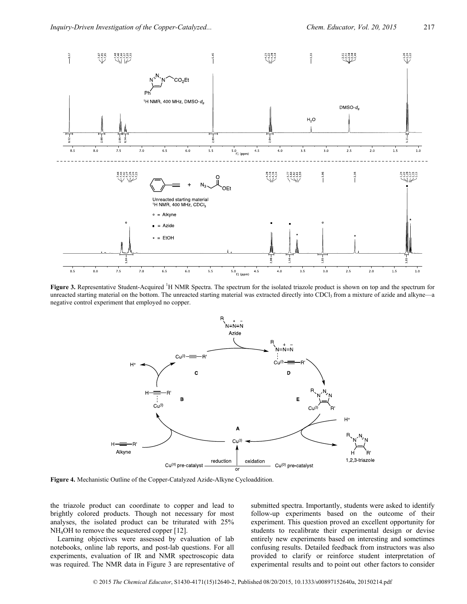

**Figure 3.** Representative Student-Acquired <sup>1</sup>H NMR Spectra. The spectrum for the isolated triazole product is shown on top and the spectrum for unreacted starting material on the bottom. The unreacted starting material was extracted directly into CDCl<sub>3</sub> from a mixture of azide and alkyne—a negative control experiment that employed no copper.



**Figure 4.** Mechanistic Outline of the Copper-Catalyzed Azide-Alkyne Cycloaddition.

the triazole product can coordinate to copper and lead to brightly colored products. Though not necessary for most analyses, the isolated product can be triturated with 25% NH4OH to remove the sequestered copper [12].

Learning objectives were assessed by evaluation of lab notebooks, online lab reports, and post-lab questions. For all experiments, evaluation of IR and NMR spectroscopic data was required. The NMR data in Figure 3 are representative of submitted spectra. Importantly, students were asked to identify follow-up experiments based on the outcome of their experiment. This question proved an excellent opportunity for students to recalibrate their experimental design or devise entirely new experiments based on interesting and sometimes confusing results. Detailed feedback from instructors was also provided to clarify or reinforce student interpretation of experimental results and to point out other factors to consider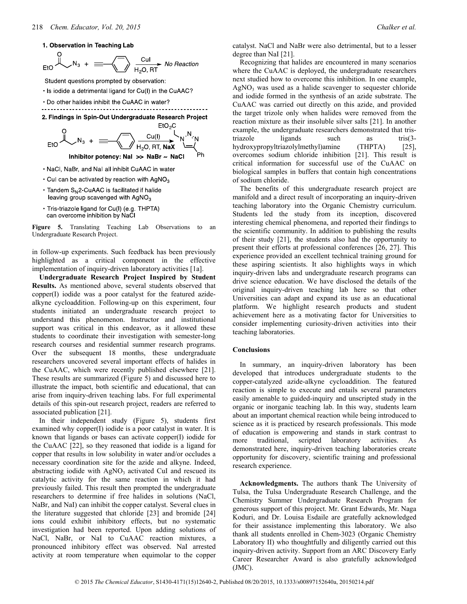1. Observation in Teaching Lab

Student questions prompted by observation:

- . Is iodide a detrimental ligand for Cu(I) in the CuAAC?
- . Do other halides inhibit the CuAAC in water?





- . NaCl, NaBr, and NaI all inhibit CuAAC in water
- $\cdot$  Cul can be activated by reaction with AgNO<sub>3</sub>
- Tandem S<sub>N</sub>2-CuAAC is facilitated if halide leaving group scavenged with AgNO<sub>3</sub>
- · Tris-triazole ligand for Cu(I) (e.g. THPTA) can overcome inhibition by NaCl

**Figure 5.** Translating Teaching Lab Observations to an Undergraduate Research Project.

in follow-up experiments. Such feedback has been previously highlighted as a critical component in the effective implementation of inquiry-driven laboratory activities [1a].

**Undergraduate Research Project Inspired by Student Results.** As mentioned above, several students observed that copper(I) iodide was a poor catalyst for the featured azidealkyne cycloaddition. Following-up on this experiment, four students initiated an undergraduate research project to understand this phenomenon. Instructor and institutional support was critical in this endeavor, as it allowed these students to coordinate their investigation with semester-long research courses and residential summer research programs. Over the subsequent 18 months, these undergraduate researchers uncovered several important effects of halides in the CuAAC, which were recently published elsewhere [21]. These results are summarized (Figure 5) and discussed here to illustrate the impact, both scientific and educational, that can arise from inquiry-driven teaching labs. For full experimental details of this spin-out research project, readers are referred to associated publication [21].

In their independent study (Figure 5), students first examined why copper(I) iodide is a poor catalyst in water. It is known that ligands or bases can activate copper(I) iodide for the CuAAC [22], so they reasoned that iodide is a ligand for copper that results in low solubility in water and/or occludes a necessary coordination site for the azide and alkyne. Indeed, abstracting iodide with  $AgNO<sub>3</sub>$  activated CuI and rescued its catalytic activity for the same reaction in which it had previously failed. This result then prompted the undergraduate researchers to determine if free halides in solutions (NaCl, NaBr, and NaI) can inhibit the copper catalyst. Several clues in the literature suggested that chloride [23] and bromide [24] ions could exhibit inhibitory effects, but no systematic investigation had been reported. Upon adding solutions of NaCl, NaBr, or NaI to CuAAC reaction mixtures, a pronounced inhibitory effect was observed. NaI arrested activity at room temperature when equimolar to the copper

catalyst. NaCl and NaBr were also detrimental, but to a lesser degree than NaI [21].

Recognizing that halides are encountered in many scenarios where the CuAAC is deployed, the undergraduate researchers next studied how to overcome this inhibition. In one example,  $AgNO<sub>3</sub>$  was used as a halide scavenger to sequester chloride and iodide formed in the synthesis of an azide substrate. The CuAAC was carried out directly on this azide, and provided the target trizole only when halides were removed from the reaction mixture as their insoluble silver salts [21]. In another example, the undergraduate researchers demonstrated that tristriazole ligands such as tris(3hydroxypropyltriazolylmethyl)amine (THPTA) [25], overcomes sodium chloride inhibition [21]. This result is critical information for successful use of the CuAAC on biological samples in buffers that contain high concentrations of sodium chloride.

The benefits of this undergraduate research project are manifold and a direct result of incorporating an inquiry-driven teaching laboratory into the Organic Chemistry curriculum. Students led the study from its inception, discovered interesting chemical phenomena, and reported their findings to the scientific community. In addition to publishing the results of their study [21], the students also had the opportunity to present their efforts at professional conferences [26, 27]. This experience provided an excellent technical training ground for these aspiring scientists. It also highlights ways in which inquiry-driven labs and undergraduate research programs can drive science education. We have disclosed the details of the original inquiry-driven teaching lab here so that other Universities can adapt and expand its use as an educational platform. We highlight research products and student achievement here as a motivating factor for Universities to consider implementing curiosity-driven activities into their teaching laboratories.

### **Conclusions**

In summary, an inquiry-driven laboratory has been developed that introduces undergraduate students to the copper-catalyzed azide-alkyne cycloaddition. The featured reaction is simple to execute and entails several parameters easily amenable to guided-inquiry and unscripted study in the organic or inorganic teaching lab. In this way, students learn about an important chemical reaction while being introduced to science as it is practiced by research professionals. This mode of education is empowering and stands in stark contrast to more traditional, scripted laboratory activities. As demonstrated here, inquiry-driven teaching laboratories create opportunity for discovery, scientific training and professional research experience.

**Acknowledgments.** The authors thank The University of Tulsa, the Tulsa Undergraduate Research Challenge, and the Chemistry Summer Undergraduate Research Program for generous support of this project. Mr. Grant Edwards, Mr. Naga Koduri, and Dr. Louisa Esdaile are gratefully acknowledged for their assistance implementing this laboratory. We also thank all students enrolled in Chem-3023 (Organic Chemistry Laboratory II) who thoughtfully and diligently carried out this inquiry-driven activity. Support from an ARC Discovery Early Career Researcher Award is also gratefully acknowledged (JMC).